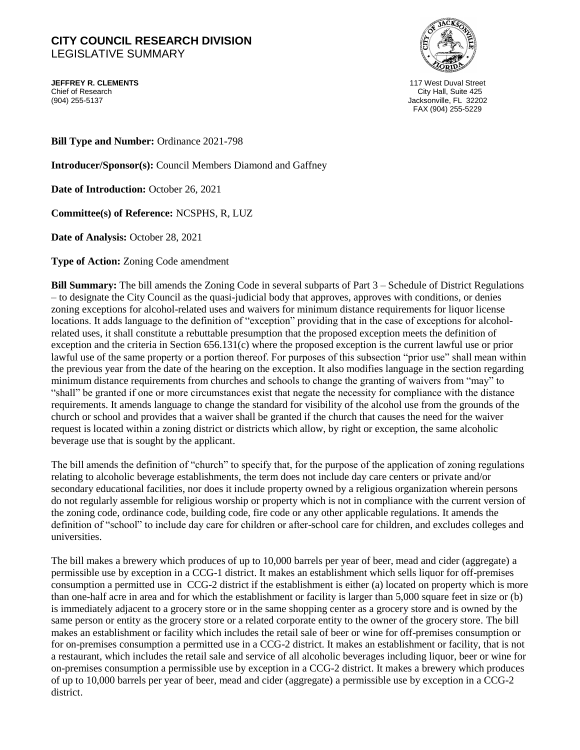## **CITY COUNCIL RESEARCH DIVISION**  LEGISLATIVE SUMMARY

**JEFFREY R. CLEMENTS** 117 West Duval Street Chief of Research City Hall, Suite 425



Jacksonville, FL 32202 FAX (904) 255-5229

**Bill Type and Number:** Ordinance 2021-798

**Introducer/Sponsor(s):** Council Members Diamond and Gaffney

**Date of Introduction:** October 26, 2021

**Committee(s) of Reference:** NCSPHS, R, LUZ

**Date of Analysis:** October 28, 2021

**Type of Action:** Zoning Code amendment

**Bill Summary:** The bill amends the Zoning Code in several subparts of Part 3 – Schedule of District Regulations – to designate the City Council as the quasi-judicial body that approves, approves with conditions, or denies zoning exceptions for alcohol-related uses and waivers for minimum distance requirements for liquor license locations. It adds language to the definition of "exception" providing that in the case of exceptions for alcoholrelated uses, it shall constitute a rebuttable presumption that the proposed exception meets the definition of exception and the criteria in Section 656.131(c) where the proposed exception is the current lawful use or prior lawful use of the same property or a portion thereof. For purposes of this subsection "prior use" shall mean within the previous year from the date of the hearing on the exception. It also modifies language in the section regarding minimum distance requirements from churches and schools to change the granting of waivers from "may" to "shall" be granted if one or more circumstances exist that negate the necessity for compliance with the distance requirements. It amends language to change the standard for visibility of the alcohol use from the grounds of the church or school and provides that a waiver shall be granted if the church that causes the need for the waiver request is located within a zoning district or districts which allow, by right or exception, the same alcoholic beverage use that is sought by the applicant.

The bill amends the definition of "church" to specify that, for the purpose of the application of zoning regulations relating to alcoholic beverage establishments, the term does not include day care centers or private and/or secondary educational facilities, nor does it include property owned by a religious organization wherein persons do not regularly assemble for religious worship or property which is not in compliance with the current version of the zoning code, ordinance code, building code, fire code or any other applicable regulations. It amends the definition of "school" to include day care for children or after-school care for children, and excludes colleges and universities.

The bill makes a brewery which produces of up to 10,000 barrels per year of beer, mead and cider (aggregate) a permissible use by exception in a CCG-1 district. It makes an establishment which sells liquor for off-premises consumption a permitted use in CCG-2 district if the establishment is either (a) located on property which is more than one-half acre in area and for which the establishment or facility is larger than 5,000 square feet in size or (b) is immediately adjacent to a grocery store or in the same shopping center as a grocery store and is owned by the same person or entity as the grocery store or a related corporate entity to the owner of the grocery store. The bill makes an establishment or facility which includes the retail sale of beer or wine for off-premises consumption or for on-premises consumption a permitted use in a CCG-2 district. It makes an establishment or facility, that is not a restaurant, which includes the retail sale and service of all alcoholic beverages including liquor, beer or wine for on-premises consumption a permissible use by exception in a CCG-2 district. It makes a brewery which produces of up to 10,000 barrels per year of beer, mead and cider (aggregate) a permissible use by exception in a CCG-2 district.